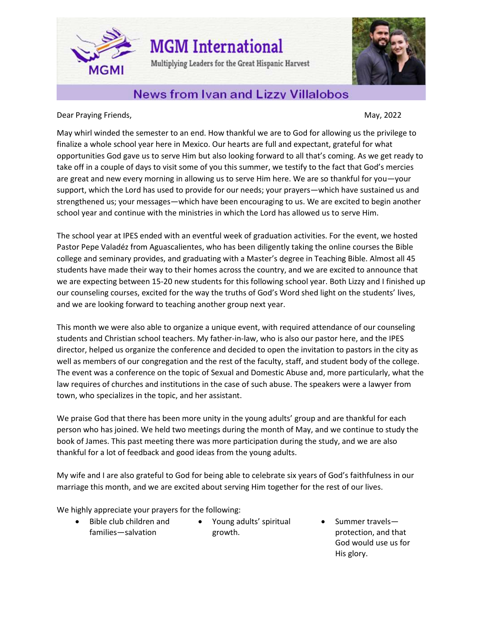**MGM** International

Multiplying Leaders for the Great Hispanic Harvest



## **News from Ivan and Lizzy Villalobos**

Dear Praying Friends, National Communication of the Communication of the May, 2022

**MGMI** 

May whirl winded the semester to an end. How thankful we are to God for allowing us the privilege to finalize a whole school year here in Mexico. Our hearts are full and expectant, grateful for what opportunities God gave us to serve Him but also looking forward to all that's coming. As we get ready to take off in a couple of days to visit some of you this summer, we testify to the fact that God's mercies are great and new every morning in allowing us to serve Him here. We are so thankful for you—your support, which the Lord has used to provide for our needs; your prayers—which have sustained us and strengthened us; your messages—which have been encouraging to us. We are excited to begin another school year and continue with the ministries in which the Lord has allowed us to serve Him.

The school year at IPES ended with an eventful week of graduation activities. For the event, we hosted Pastor Pepe Valadéz from Aguascalientes, who has been diligently taking the online courses the Bible college and seminary provides, and graduating with a Master's degree in Teaching Bible. Almost all 45 students have made their way to their homes across the country, and we are excited to announce that we are expecting between 15-20 new students for this following school year. Both Lizzy and I finished up our counseling courses, excited for the way the truths of God's Word shed light on the students' lives, and we are looking forward to teaching another group next year.

This month we were also able to organize a unique event, with required attendance of our counseling students and Christian school teachers. My father-in-law, who is also our pastor here, and the IPES director, helped us organize the conference and decided to open the invitation to pastors in the city as well as members of our congregation and the rest of the faculty, staff, and student body of the college. The event was a conference on the topic of Sexual and Domestic Abuse and, more particularly, what the law requires of churches and institutions in the case of such abuse. The speakers were a lawyer from town, who specializes in the topic, and her assistant.

We praise God that there has been more unity in the young adults' group and are thankful for each person who has joined. We held two meetings during the month of May, and we continue to study the book of James. This past meeting there was more participation during the study, and we are also thankful for a lot of feedback and good ideas from the young adults.

My wife and I are also grateful to God for being able to celebrate six years of God's faithfulness in our marriage this month, and we are excited about serving Him together for the rest of our lives.

We highly appreciate your prayers for the following:

- Bible club children and families—salvation
- Young adults' spiritual growth.
- Summer travels protection, and that God would use us for His glory.